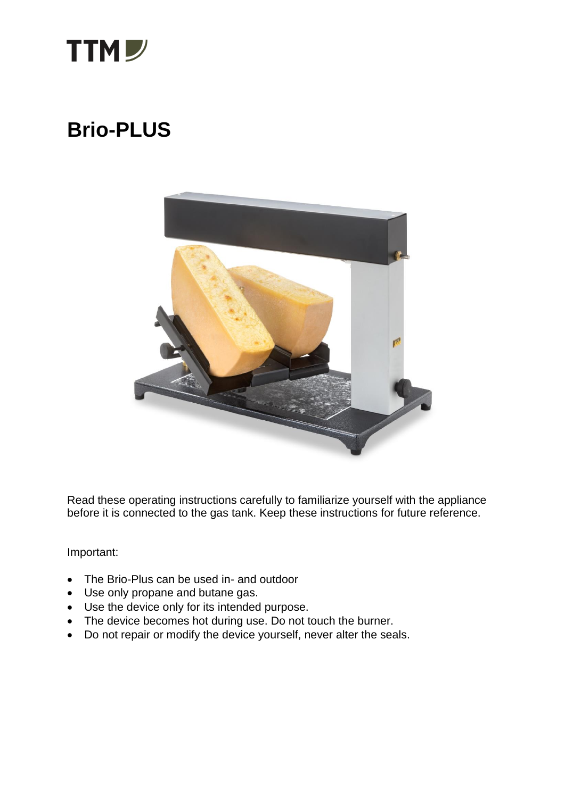

## **Brio-PLUS**



Read these operating instructions carefully to familiarize yourself with the appliance before it is connected to the gas tank. Keep these instructions for future reference.

Important:

- The Brio-Plus can be used in- and outdoor
- Use only propane and butane gas.
- Use the device only for its intended purpose.
- The device becomes hot during use. Do not touch the burner.
- Do not repair or modify the device yourself, never alter the seals.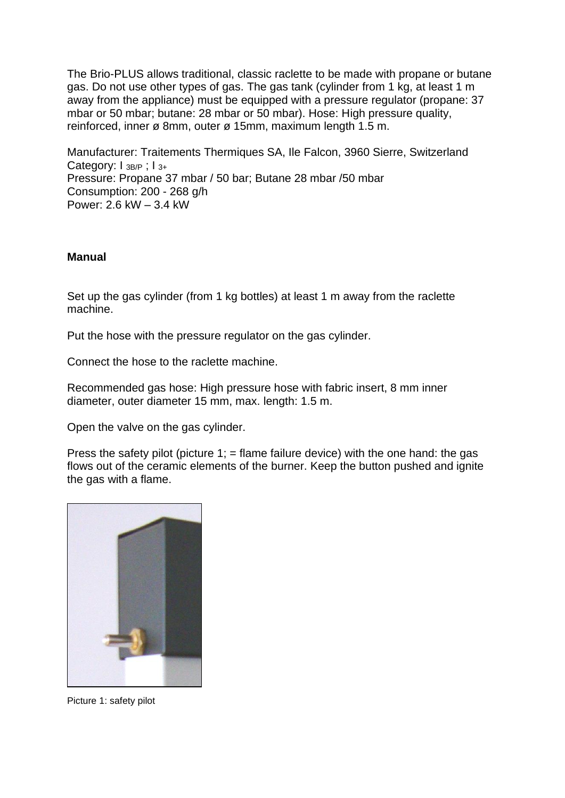The Brio-PLUS allows traditional, classic raclette to be made with propane or butane gas. Do not use other types of gas. The gas tank (cylinder from 1 kg, at least 1 m away from the appliance) must be equipped with a pressure regulator (propane: 37 mbar or 50 mbar; butane: 28 mbar or 50 mbar). Hose: High pressure quality, reinforced, inner ø 8mm, outer ø 15mm, maximum length 1.5 m.

Manufacturer: Traitements Thermiques SA, Ile Falcon, 3960 Sierre, Switzerland Category: I 3B/P : I 3+ Pressure: Propane 37 mbar / 50 bar; Butane 28 mbar /50 mbar Consumption: 200 - 268 g/h Power: 2.6 kW – 3.4 kW

## **Manual**

Set up the gas cylinder (from 1 kg bottles) at least 1 m away from the raclette machine.

Put the hose with the pressure regulator on the gas cylinder.

Connect the hose to the raclette machine.

Recommended gas hose: High pressure hose with fabric insert, 8 mm inner diameter, outer diameter 15 mm, max. length: 1.5 m.

Open the valve on the gas cylinder.

Press the safety pilot (picture 1;  $=$  flame failure device) with the one hand: the gas flows out of the ceramic elements of the burner. Keep the button pushed and ignite the gas with a flame.



Picture 1: safety pilot